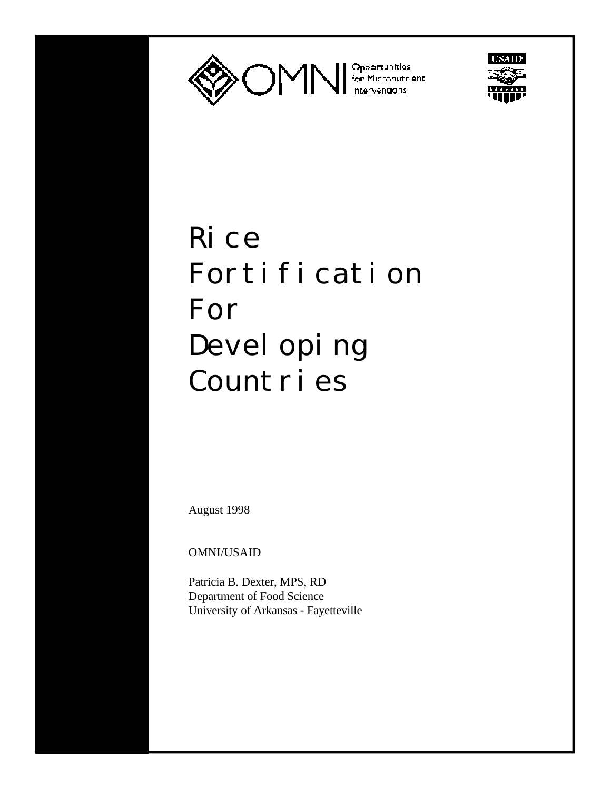



# Rice Fortification For Devel oping Countries

August 1998

OMNI/USAID

Patricia B. Dexter, MPS, RD Department of Food Science University of Arkansas - Fayetteville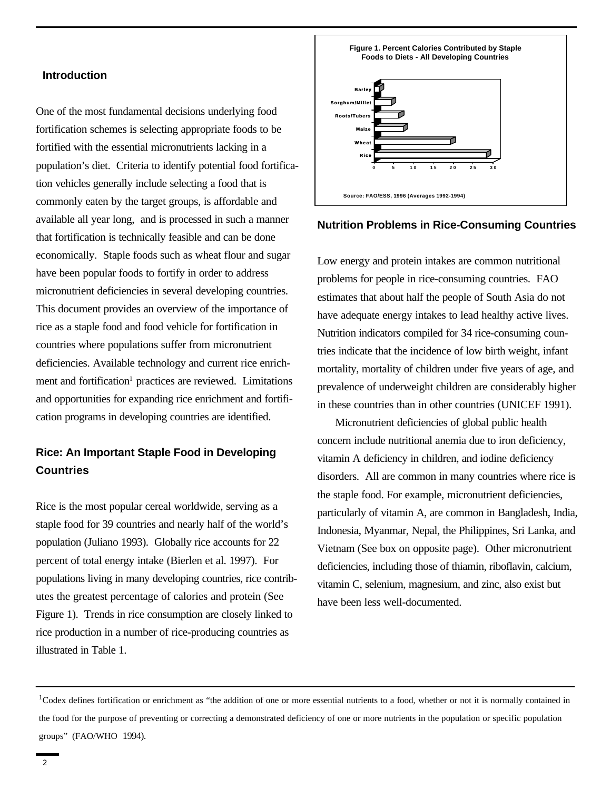#### **Introduction**

One of the most fundamental decisions underlying food fortification schemes is selecting appropriate foods to be fortified with the essential micronutrients lacking in a population's diet. Criteria to identify potential food fortification vehicles generally include selecting a food that is commonly eaten by the target groups, is affordable and available all year long, and is processed in such a manner that fortification is technically feasible and can be done economically. Staple foods such as wheat flour and sugar have been popular foods to fortify in order to address micronutrient deficiencies in several developing countries. This document provides an overview of the importance of rice as a staple food and food vehicle for fortification in countries where populations suffer from micronutrient deficiencies. Available technology and current rice enrichment and fortification<sup>1</sup> practices are reviewed. Limitations and opportunities for expanding rice enrichment and fortification programs in developing countries are identified.

# **Rice: An Important Staple Food in Developing Countries**

Rice is the most popular cereal worldwide, serving as a staple food for 39 countries and nearly half of the world's population (Juliano 1993). Globally rice accounts for 22 percent of total energy intake (Bierlen et al. 1997). For populations living in many developing countries, rice contributes the greatest percentage of calories and protein (See Figure 1). Trends in rice consumption are closely linked to rice production in a number of rice-producing countries as illustrated in Table 1.



## **Nutrition Problems in Rice-Consuming Countries**

Low energy and protein intakes are common nutritional problems for people in rice-consuming countries. FAO estimates that about half the people of South Asia do not have adequate energy intakes to lead healthy active lives. Nutrition indicators compiled for 34 rice-consuming countries indicate that the incidence of low birth weight, infant mortality, mortality of children under five years of age, and prevalence of underweight children are considerably higher in these countries than in other countries (UNICEF 1991).

Micronutrient deficiencies of global public health concern include nutritional anemia due to iron deficiency, vitamin A deficiency in children, and iodine deficiency disorders. All are common in many countries where rice is the staple food. For example, micronutrient deficiencies, particularly of vitamin A, are common in Bangladesh, India, Indonesia, Myanmar, Nepal, the Philippines, Sri Lanka, and Vietnam (See box on opposite page). Other micronutrient deficiencies, including those of thiamin, riboflavin, calcium, vitamin C, selenium, magnesium, and zinc, also exist but have been less well-documented.

<sup>&</sup>lt;sup>1</sup>Codex defines fortification or enrichment as "the addition of one or more essential nutrients to a food, whether or not it is normally contained in the food for the purpose of preventing or correcting a demonstrated deficiency of one or more nutrients in the population or specific population groups" (FAO/WHO 1994).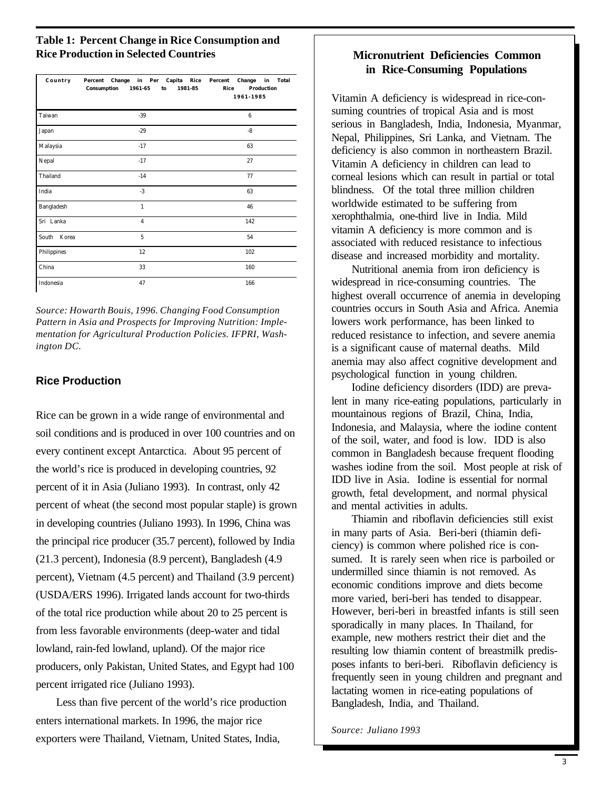## **Table 1: Percent Change in Rice Consumption and Rice Production in Selected Countries**

| Country     | Capita<br>Percent<br>Change in Per<br>Rice<br>1961-65<br>1981-85<br>Consumption<br>to | Percent<br>Change<br>Total<br>in<br>Production<br>Rice<br>1961-1985 |  |  |
|-------------|---------------------------------------------------------------------------------------|---------------------------------------------------------------------|--|--|
| Taiwan      | $-39$                                                                                 | $6\phantom{1}6$                                                     |  |  |
| Japan       | $-29$<br>$-8$                                                                         |                                                                     |  |  |
| Malaysia    | $-17$                                                                                 | 63                                                                  |  |  |
| Nepal       | $-17$                                                                                 | 27                                                                  |  |  |
| Thailand    | $-14$                                                                                 | 77                                                                  |  |  |
| India       | $-3$                                                                                  | 63                                                                  |  |  |
| Bangladesh  | $\mathbf{1}$                                                                          | 46                                                                  |  |  |
| Sri Lanka   | $\overline{4}$                                                                        | 142                                                                 |  |  |
| South Korea | 5                                                                                     | 54                                                                  |  |  |
| Philippines | 12                                                                                    | 102                                                                 |  |  |
| China       | 33                                                                                    | 160                                                                 |  |  |
| Indonesia   | 47                                                                                    | 166                                                                 |  |  |

*Source: Howarth Bouis, 1996. Changing Food Consumption Pattern in Asia and Prospects for Improving Nutrition: Implementation for Agricultural Production Policies. IFPRI, Washington DC.*

# **Rice Production**

Rice can be grown in a wide range of environmental and soil conditions and is produced in over 100 countries and on every continent except Antarctica. About 95 percent of the world's rice is produced in developing countries, 92 percent of it in Asia (Juliano 1993). In contrast, only 42 percent of wheat (the second most popular staple) is grown in developing countries (Juliano 1993). In 1996, China was the principal rice producer (35.7 percent), followed by India (21.3 percent), Indonesia (8.9 percent), Bangladesh (4.9 percent), Vietnam (4.5 percent) and Thailand (3.9 percent) (USDA/ERS 1996). Irrigated lands account for two-thirds of the total rice production while about 20 to 25 percent is from less favorable environments (deep-water and tidal lowland, rain-fed lowland, upland). Of the major rice producers, only Pakistan, United States, and Egypt had 100 percent irrigated rice (Juliano 1993).

Less than five percent of the world's rice production enters international markets. In 1996, the major rice exporters were Thailand, Vietnam, United States, India,

# **Micronutrient Deficiencies Common in Rice-Consuming Populations**

Vitamin A deficiency is widespread in rice-consuming countries of tropical Asia and is most serious in Bangladesh, India, Indonesia, Myanmar, Nepal, Philippines, Sri Lanka, and Vietnam. The deficiency is also common in northeastern Brazil. Vitamin A deficiency in children can lead to corneal lesions which can result in partial or total blindness. Of the total three million children worldwide estimated to be suffering from xerophthalmia, one-third live in India. Mild vitamin A deficiency is more common and is associated with reduced resistance to infectious disease and increased morbidity and mortality.

Nutritional anemia from iron deficiency is widespread in rice-consuming countries. The highest overall occurrence of anemia in developing countries occurs in South Asia and Africa. Anemia lowers work performance, has been linked to reduced resistance to infection, and severe anemia is a significant cause of maternal deaths. Mild anemia may also affect cognitive development and psychological function in young children.

Iodine deficiency disorders (IDD) are prevalent in many rice-eating populations, particularly in mountainous regions of Brazil, China, India, Indonesia, and Malaysia, where the iodine content of the soil, water, and food is low. IDD is also common in Bangladesh because frequent flooding washes iodine from the soil. Most people at risk of IDD live in Asia. Iodine is essential for normal growth, fetal development, and normal physical and mental activities in adults.

Thiamin and riboflavin deficiencies still exist in many parts of Asia. Beri-beri (thiamin deficiency) is common where polished rice is consumed. It is rarely seen when rice is parboiled or undermilled since thiamin is not removed. As economic conditions improve and diets become more varied, beri-beri has tended to disappear. However, beri-beri in breastfed infants is still seen sporadically in many places. In Thailand, for example, new mothers restrict their diet and the resulting low thiamin content of breastmilk predisposes infants to beri-beri. Riboflavin deficiency is frequently seen in young children and pregnant and lactating women in rice-eating populations of Bangladesh, India, and Thailand.

*Source: Juliano 1993*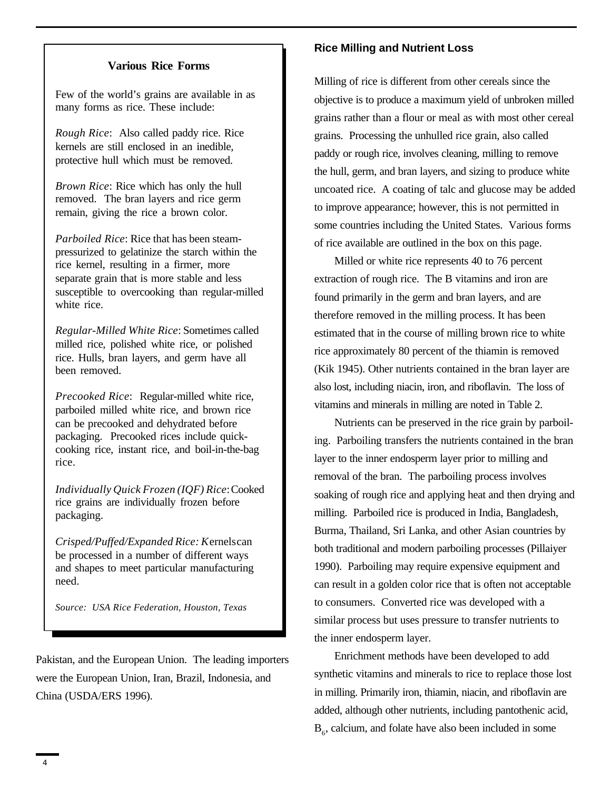## **Various Rice Forms**

Few of the world's grains are available in as many forms as rice. These include:

*Rough Rice*: Also called paddy rice. Rice kernels are still enclosed in an inedible, protective hull which must be removed.

*Brown Rice*: Rice which has only the hull removed. The bran layers and rice germ remain, giving the rice a brown color.

*Parboiled Rice*: Rice that has been steampressurized to gelatinize the starch within the rice kernel, resulting in a firmer, more separate grain that is more stable and less susceptible to overcooking than regular-milled white rice.

*Regular-Milled White Rice*: Sometimes called milled rice, polished white rice, or polished rice. Hulls, bran layers, and germ have all been removed.

*Precooked Rice*: Regular-milled white rice, parboiled milled white rice, and brown rice can be precooked and dehydrated before packaging. Precooked rices include quickcooking rice, instant rice, and boil-in-the-bag rice.

*Individually Quick Frozen (IQF) Rice*: Cooked rice grains are individually frozen before packaging.

*Crisped/Puffed/Expanded Rice: K*ernels can be processed in a number of different ways and shapes to meet particular manufacturing need.

*Source: USA Rice Federation, Houston, Texas*

Pakistan, and the European Union. The leading importers were the European Union, Iran, Brazil, Indonesia, and China (USDA/ERS 1996).

#### **Rice Milling and Nutrient Loss**

Milling of rice is different from other cereals since the objective is to produce a maximum yield of unbroken milled grains rather than a flour or meal as with most other cereal grains. Processing the unhulled rice grain, also called paddy or rough rice, involves cleaning, milling to remove the hull, germ, and bran layers, and sizing to produce white uncoated rice. A coating of talc and glucose may be added to improve appearance; however, this is not permitted in some countries including the United States. Various forms of rice available are outlined in the box on this page.

Milled or white rice represents 40 to 76 percent extraction of rough rice. The B vitamins and iron are found primarily in the germ and bran layers, and are therefore removed in the milling process. It has been estimated that in the course of milling brown rice to white rice approximately 80 percent of the thiamin is removed (Kik 1945). Other nutrients contained in the bran layer are also lost, including niacin, iron, and riboflavin. The loss of vitamins and minerals in milling are noted in Table 2.

Nutrients can be preserved in the rice grain by parboiling. Parboiling transfers the nutrients contained in the bran layer to the inner endosperm layer prior to milling and removal of the bran. The parboiling process involves soaking of rough rice and applying heat and then drying and milling. Parboiled rice is produced in India, Bangladesh, Burma, Thailand, Sri Lanka, and other Asian countries by both traditional and modern parboiling processes (Pillaiyer 1990). Parboiling may require expensive equipment and can result in a golden color rice that is often not acceptable to consumers. Converted rice was developed with a similar process but uses pressure to transfer nutrients to the inner endosperm layer.

Enrichment methods have been developed to add synthetic vitamins and minerals to rice to replace those lost in milling. Primarily iron, thiamin, niacin, and riboflavin are added, although other nutrients, including pantothenic acid,  $B_6$ , calcium, and folate have also been included in some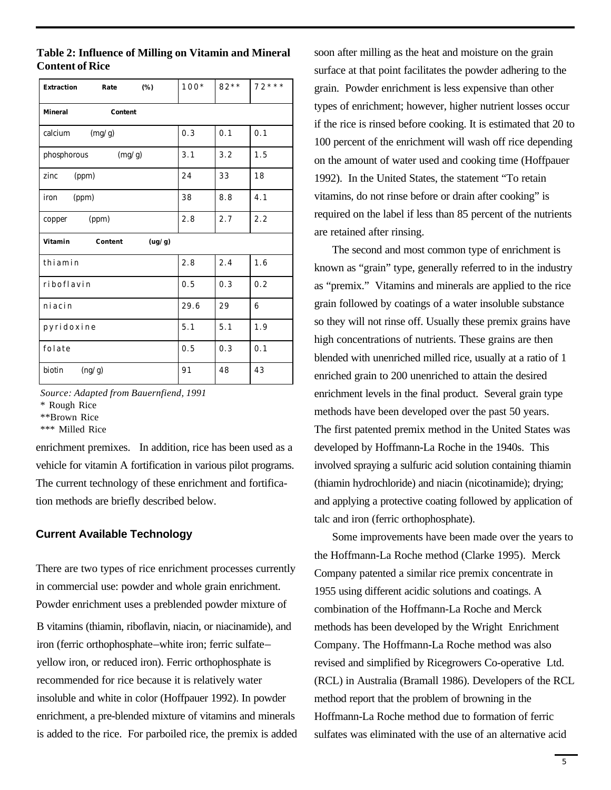| Extraction<br>(%)<br>Rate    | $100*$ | $82**$ | $72***$ |  |  |
|------------------------------|--------|--------|---------|--|--|
| <b>Mineral</b><br>Content    |        |        |         |  |  |
| (mg/g)<br>calcium            | 0.3    | 0.1    | 0.1     |  |  |
| phosphorous<br>(mg/g)        | 3.1    | 3.2    | 1.5     |  |  |
| (ppm)<br>zinc                | 24     | 33     | 18      |  |  |
| (ppm)<br>iron                | 38     | 8.8    | 4.1     |  |  |
| (ppm)<br>copper              | 2.8    | 2.7    | 2.2     |  |  |
| Vitamin<br>Content<br>(ug/g) |        |        |         |  |  |
| thiamin                      | 2.8    | 2.4    | 1.6     |  |  |
| riboflavin                   | 0.5    | 0.3    | 0.2     |  |  |
| niacin                       | 29.6   | 29     | 6       |  |  |
| pyridoxine                   | 5.1    | 5.1    | 1.9     |  |  |
| folate                       | 0.5    | 0.3    | 0.1     |  |  |
| biotin<br>(ng/g)             | 91     | 48     | 43      |  |  |

**Table 2: Influence of Milling on Vitamin and Mineral Content of Rice**

*Source: Adapted from Bauernfiend, 1991*

\* Rough Rice

\*\*Brown Rice

\*\*\* Milled Rice

enrichment premixes. In addition, rice has been used as a vehicle for vitamin A fortification in various pilot programs. The current technology of these enrichment and fortification methods are briefly described below.

## **Current Available Technology**

There are two types of rice enrichment processes currently in commercial use: powder and whole grain enrichment. Powder enrichment uses a preblended powder mixture of B vitamins (thiamin, riboflavin, niacin, or niacinamide), and iron (ferric orthophosphate–white iron; ferric sulfate– yellow iron, or reduced iron). Ferric orthophosphate is recommended for rice because it is relatively water insoluble and white in color (Hoffpauer 1992). In powder enrichment, a pre-blended mixture of vitamins and minerals is added to the rice. For parboiled rice, the premix is added soon after milling as the heat and moisture on the grain surface at that point facilitates the powder adhering to the grain. Powder enrichment is less expensive than other types of enrichment; however, higher nutrient losses occur if the rice is rinsed before cooking. It is estimated that 20 to 100 percent of the enrichment will wash off rice depending on the amount of water used and cooking time (Hoffpauer 1992). In the United States, the statement "To retain vitamins, do not rinse before or drain after cooking" is required on the label if less than 85 percent of the nutrients are retained after rinsing.

The second and most common type of enrichment is known as "grain" type, generally referred to in the industry as "premix." Vitamins and minerals are applied to the rice grain followed by coatings of a water insoluble substance so they will not rinse off. Usually these premix grains have high concentrations of nutrients. These grains are then blended with unenriched milled rice, usually at a ratio of 1 enriched grain to 200 unenriched to attain the desired enrichment levels in the final product. Several grain type methods have been developed over the past 50 years. The first patented premix method in the United States was developed by Hoffmann-La Roche in the 1940s. This involved spraying a sulfuric acid solution containing thiamin (thiamin hydrochloride) and niacin (nicotinamide); drying; and applying a protective coating followed by application of talc and iron (ferric orthophosphate).

Some improvements have been made over the years to the Hoffmann-La Roche method (Clarke 1995). Merck Company patented a similar rice premix concentrate in 1955 using different acidic solutions and coatings. A combination of the Hoffmann-La Roche and Merck methods has been developed by the Wright Enrichment Company. The Hoffmann-La Roche method was also revised and simplified by Ricegrowers Co-operative Ltd. (RCL) in Australia (Bramall 1986). Developers of the RCL method report that the problem of browning in the Hoffmann-La Roche method due to formation of ferric sulfates was eliminated with the use of an alternative acid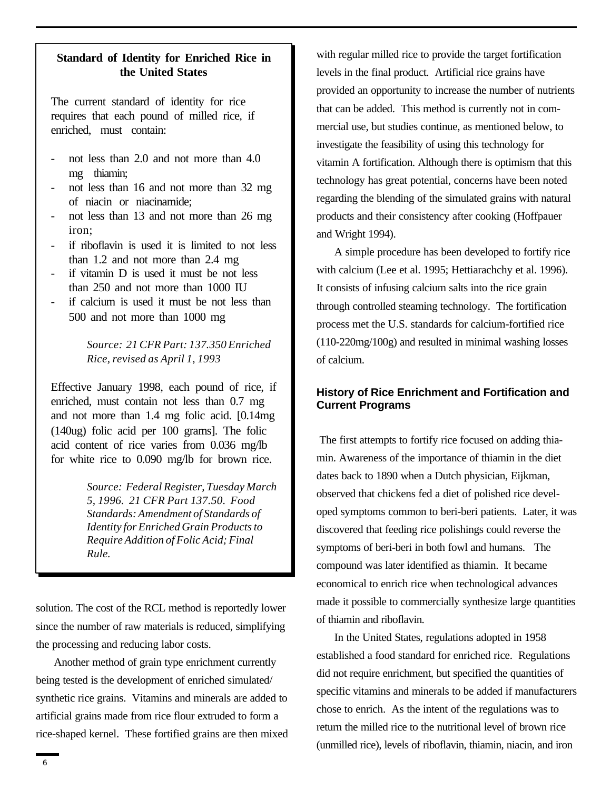## **Standard of Identity for Enriched Rice in the United States**

The current standard of identity for rice requires that each pound of milled rice, if enriched, must contain:

- not less than 2.0 and not more than 4.0 mg thiamin;
- not less than 16 and not more than 32 mg of niacin or niacinamide;
- not less than 13 and not more than 26 mg iron;
- if riboflavin is used it is limited to not less than 1.2 and not more than 2.4 mg
- if vitamin D is used it must be not less than 250 and not more than 1000 IU
- if calcium is used it must be not less than 500 and not more than 1000 mg

*Source: 21 CFR Part: 137.350 Enriched Rice, revised as April 1, 1993*

Effective January 1998, each pound of rice, if enriched, must contain not less than 0.7 mg and not more than 1.4 mg folic acid. [0.14mg (140ug) folic acid per 100 grams]. The folic acid content of rice varies from 0.036 mg/lb for white rice to 0.090 mg/lb for brown rice.

> *Source: Federal Register, Tuesday March 5, 1996. 21 CFR Part 137.50. Food Standards: Amendment of Standards of Identity for Enriched Grain Products to Require Addition of Folic Acid; Final Rule.*

solution. The cost of the RCL method is reportedly lower since the number of raw materials is reduced, simplifying the processing and reducing labor costs.

Another method of grain type enrichment currently being tested is the development of enriched simulated/ synthetic rice grains. Vitamins and minerals are added to artificial grains made from rice flour extruded to form a rice-shaped kernel. These fortified grains are then mixed

with regular milled rice to provide the target fortification levels in the final product. Artificial rice grains have provided an opportunity to increase the number of nutrients that can be added. This method is currently not in commercial use, but studies continue, as mentioned below, to investigate the feasibility of using this technology for vitamin A fortification. Although there is optimism that this technology has great potential, concerns have been noted regarding the blending of the simulated grains with natural products and their consistency after cooking (Hoffpauer and Wright 1994).

A simple procedure has been developed to fortify rice with calcium (Lee et al. 1995; Hettiarachchy et al. 1996). It consists of infusing calcium salts into the rice grain through controlled steaming technology. The fortification process met the U.S. standards for calcium-fortified rice (110-220mg/100g) and resulted in minimal washing losses of calcium.

## **History of Rice Enrichment and Fortification and Current Programs**

 The first attempts to fortify rice focused on adding thiamin. Awareness of the importance of thiamin in the diet dates back to 1890 when a Dutch physician, Eijkman, observed that chickens fed a diet of polished rice developed symptoms common to beri-beri patients. Later, it was discovered that feeding rice polishings could reverse the symptoms of beri-beri in both fowl and humans. The compound was later identified as thiamin. It became economical to enrich rice when technological advances made it possible to commercially synthesize large quantities of thiamin and riboflavin.

In the United States, regulations adopted in 1958 established a food standard for enriched rice. Regulations did not require enrichment, but specified the quantities of specific vitamins and minerals to be added if manufacturers chose to enrich. As the intent of the regulations was to return the milled rice to the nutritional level of brown rice (unmilled rice), levels of riboflavin, thiamin, niacin, and iron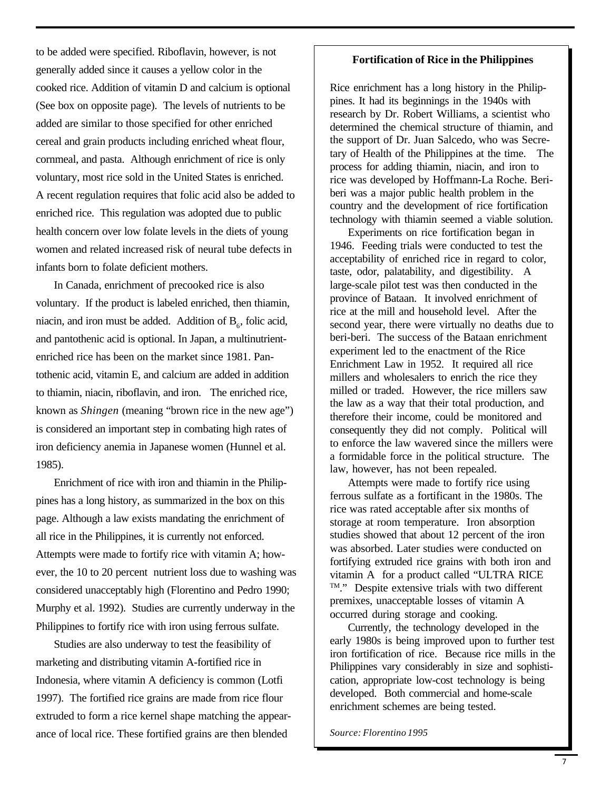to be added were specified. Riboflavin, however, is not generally added since it causes a yellow color in the cooked rice. Addition of vitamin D and calcium is optional (See box on opposite page). The levels of nutrients to be added are similar to those specified for other enriched cereal and grain products including enriched wheat flour, cornmeal, and pasta. Although enrichment of rice is only voluntary, most rice sold in the United States is enriched. A recent regulation requires that folic acid also be added to enriched rice. This regulation was adopted due to public health concern over low folate levels in the diets of young women and related increased risk of neural tube defects in infants born to folate deficient mothers.

In Canada, enrichment of precooked rice is also voluntary. If the product is labeled enriched, then thiamin, miacin, and iron must be added. Addition of  $B_6$ , folic acid, and pantothenic acid is optional. In Japan, a multinutrientenriched rice has been on the market since 1981. Pantothenic acid, vitamin E, and calcium are added in addition to thiamin, niacin, riboflavin, and iron. The enriched rice, known as *Shingen* (meaning "brown rice in the new age") is considered an important step in combating high rates of iron deficiency anemia in Japanese women (Hunnel et al. 1985).

Enrichment of rice with iron and thiamin in the Philippines has a long history, as summarized in the box on this page. Although a law exists mandating the enrichment of all rice in the Philippines, it is currently not enforced. Attempts were made to fortify rice with vitamin A; however, the 10 to 20 percent nutrient loss due to washing was considered unacceptably high (Florentino and Pedro 1990; Murphy et al. 1992). Studies are currently underway in the Philippines to fortify rice with iron using ferrous sulfate.

Studies are also underway to test the feasibility of marketing and distributing vitamin A-fortified rice in Indonesia, where vitamin A deficiency is common (Lotfi 1997). The fortified rice grains are made from rice flour extruded to form a rice kernel shape matching the appearance of local rice. These fortified grains are then blended

## **Fortification of Rice in the Philippines**

Rice enrichment has a long history in the Philippines. It had its beginnings in the 1940s with research by Dr. Robert Williams, a scientist who determined the chemical structure of thiamin, and the support of Dr. Juan Salcedo, who was Secretary of Health of the Philippines at the time. The process for adding thiamin, niacin, and iron to rice was developed by Hoffmann-La Roche. Beriberi was a major public health problem in the country and the development of rice fortification technology with thiamin seemed a viable solution.

Experiments on rice fortification began in 1946. Feeding trials were conducted to test the acceptability of enriched rice in regard to color, taste, odor, palatability, and digestibility. A large-scale pilot test was then conducted in the province of Bataan. It involved enrichment of rice at the mill and household level. After the second year, there were virtually no deaths due to beri-beri. The success of the Bataan enrichment experiment led to the enactment of the Rice Enrichment Law in 1952. It required all rice millers and wholesalers to enrich the rice they milled or traded. However, the rice millers saw the law as a way that their total production, and therefore their income, could be monitored and consequently they did not comply. Political will to enforce the law wavered since the millers were a formidable force in the political structure. The law, however, has not been repealed.

Attempts were made to fortify rice using ferrous sulfate as a fortificant in the 1980s. The rice was rated acceptable after six months of storage at room temperature. Iron absorption studies showed that about 12 percent of the iron was absorbed. Later studies were conducted on fortifying extruded rice grains with both iron and vitamin A for a product called "ULTRA RICE TM." Despite extensive trials with two different premixes, unacceptable losses of vitamin A occurred during storage and cooking.

Currently, the technology developed in the early 1980s is being improved upon to further test iron fortification of rice. Because rice mills in the Philippines vary considerably in size and sophistication, appropriate low-cost technology is being developed. Both commercial and home-scale enrichment schemes are being tested.

*Source: Florentino 1995*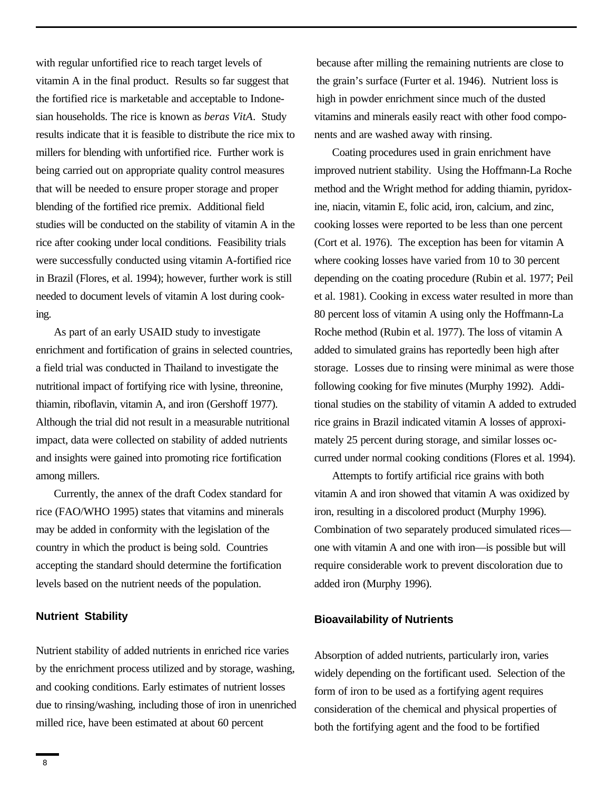with regular unfortified rice to reach target levels of vitamin A in the final product. Results so far suggest that the fortified rice is marketable and acceptable to Indonesian households. The rice is known as *beras VitA*. Study results indicate that it is feasible to distribute the rice mix to millers for blending with unfortified rice. Further work is being carried out on appropriate quality control measures that will be needed to ensure proper storage and proper blending of the fortified rice premix. Additional field studies will be conducted on the stability of vitamin A in the rice after cooking under local conditions. Feasibility trials were successfully conducted using vitamin A-fortified rice in Brazil (Flores, et al. 1994); however, further work is still needed to document levels of vitamin A lost during cooking.

As part of an early USAID study to investigate enrichment and fortification of grains in selected countries, a field trial was conducted in Thailand to investigate the nutritional impact of fortifying rice with lysine, threonine, thiamin, riboflavin, vitamin A, and iron (Gershoff 1977). Although the trial did not result in a measurable nutritional impact, data were collected on stability of added nutrients and insights were gained into promoting rice fortification among millers.

Currently, the annex of the draft Codex standard for rice (FAO/WHO 1995) states that vitamins and minerals may be added in conformity with the legislation of the country in which the product is being sold. Countries accepting the standard should determine the fortification levels based on the nutrient needs of the population.

#### **Nutrient Stability**

Nutrient stability of added nutrients in enriched rice varies by the enrichment process utilized and by storage, washing, and cooking conditions. Early estimates of nutrient losses due to rinsing/washing, including those of iron in unenriched milled rice, have been estimated at about 60 percent

because after milling the remaining nutrients are close to the grain's surface (Furter et al. 1946). Nutrient loss is high in powder enrichment since much of the dusted vitamins and minerals easily react with other food components and are washed away with rinsing.

Coating procedures used in grain enrichment have improved nutrient stability. Using the Hoffmann-La Roche method and the Wright method for adding thiamin, pyridoxine, niacin, vitamin E, folic acid, iron, calcium, and zinc, cooking losses were reported to be less than one percent (Cort et al. 1976). The exception has been for vitamin A where cooking losses have varied from 10 to 30 percent depending on the coating procedure (Rubin et al. 1977; Peil et al. 1981). Cooking in excess water resulted in more than 80 percent loss of vitamin A using only the Hoffmann-La Roche method (Rubin et al. 1977). The loss of vitamin A added to simulated grains has reportedly been high after storage. Losses due to rinsing were minimal as were those following cooking for five minutes (Murphy 1992). Additional studies on the stability of vitamin A added to extruded rice grains in Brazil indicated vitamin A losses of approximately 25 percent during storage, and similar losses occurred under normal cooking conditions (Flores et al. 1994).

Attempts to fortify artificial rice grains with both vitamin A and iron showed that vitamin A was oxidized by iron, resulting in a discolored product (Murphy 1996). Combination of two separately produced simulated rices one with vitamin A and one with iron—is possible but will require considerable work to prevent discoloration due to added iron (Murphy 1996).

## **Bioavailability of Nutrients**

Absorption of added nutrients, particularly iron, varies widely depending on the fortificant used. Selection of the form of iron to be used as a fortifying agent requires consideration of the chemical and physical properties of both the fortifying agent and the food to be fortified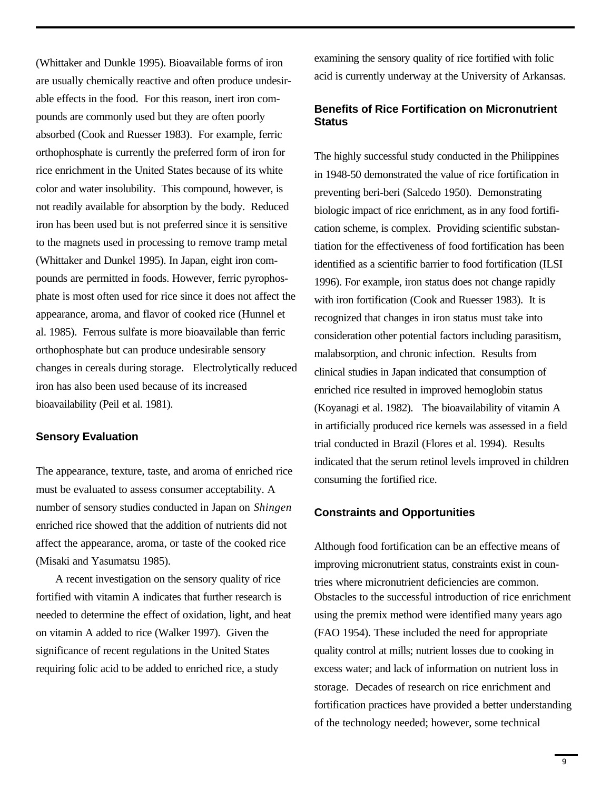(Whittaker and Dunkle 1995). Bioavailable forms of iron are usually chemically reactive and often produce undesirable effects in the food. For this reason, inert iron compounds are commonly used but they are often poorly absorbed (Cook and Ruesser 1983). For example, ferric orthophosphate is currently the preferred form of iron for rice enrichment in the United States because of its white color and water insolubility. This compound, however, is not readily available for absorption by the body. Reduced iron has been used but is not preferred since it is sensitive to the magnets used in processing to remove tramp metal (Whittaker and Dunkel 1995). In Japan, eight iron compounds are permitted in foods. However, ferric pyrophosphate is most often used for rice since it does not affect the appearance, aroma, and flavor of cooked rice (Hunnel et al. 1985). Ferrous sulfate is more bioavailable than ferric orthophosphate but can produce undesirable sensory changes in cereals during storage. Electrolytically reduced iron has also been used because of its increased bioavailability (Peil et al. 1981).

#### **Sensory Evaluation**

The appearance, texture, taste, and aroma of enriched rice must be evaluated to assess consumer acceptability. A number of sensory studies conducted in Japan on *Shingen* enriched rice showed that the addition of nutrients did not affect the appearance, aroma, or taste of the cooked rice (Misaki and Yasumatsu 1985).

A recent investigation on the sensory quality of rice fortified with vitamin A indicates that further research is needed to determine the effect of oxidation, light, and heat on vitamin A added to rice (Walker 1997). Given the significance of recent regulations in the United States requiring folic acid to be added to enriched rice, a study

examining the sensory quality of rice fortified with folic acid is currently underway at the University of Arkansas.

## **Benefits of Rice Fortification on Micronutrient Status**

The highly successful study conducted in the Philippines in 1948-50 demonstrated the value of rice fortification in preventing beri-beri (Salcedo 1950). Demonstrating biologic impact of rice enrichment, as in any food fortification scheme, is complex. Providing scientific substantiation for the effectiveness of food fortification has been identified as a scientific barrier to food fortification (ILSI 1996). For example, iron status does not change rapidly with iron fortification (Cook and Ruesser 1983). It is recognized that changes in iron status must take into consideration other potential factors including parasitism, malabsorption, and chronic infection. Results from clinical studies in Japan indicated that consumption of enriched rice resulted in improved hemoglobin status (Koyanagi et al. 1982). The bioavailability of vitamin A in artificially produced rice kernels was assessed in a field trial conducted in Brazil (Flores et al. 1994). Results indicated that the serum retinol levels improved in children consuming the fortified rice.

## **Constraints and Opportunities**

Although food fortification can be an effective means of improving micronutrient status, constraints exist in countries where micronutrient deficiencies are common. Obstacles to the successful introduction of rice enrichment using the premix method were identified many years ago (FAO 1954). These included the need for appropriate quality control at mills; nutrient losses due to cooking in excess water; and lack of information on nutrient loss in storage. Decades of research on rice enrichment and fortification practices have provided a better understanding of the technology needed; however, some technical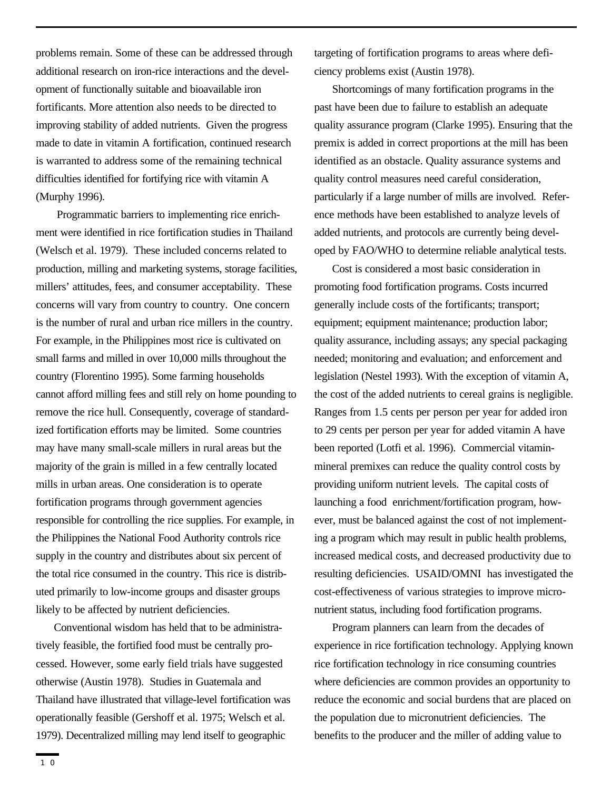problems remain. Some of these can be addressed through additional research on iron-rice interactions and the development of functionally suitable and bioavailable iron fortificants. More attention also needs to be directed to improving stability of added nutrients. Given the progress made to date in vitamin A fortification, continued research is warranted to address some of the remaining technical difficulties identified for fortifying rice with vitamin A (Murphy 1996).

 Programmatic barriers to implementing rice enrichment were identified in rice fortification studies in Thailand (Welsch et al. 1979). These included concerns related to production, milling and marketing systems, storage facilities, millers' attitudes, fees, and consumer acceptability. These concerns will vary from country to country. One concern is the number of rural and urban rice millers in the country. For example, in the Philippines most rice is cultivated on small farms and milled in over 10,000 mills throughout the country (Florentino 1995). Some farming households cannot afford milling fees and still rely on home pounding to remove the rice hull. Consequently, coverage of standardized fortification efforts may be limited. Some countries may have many small-scale millers in rural areas but the majority of the grain is milled in a few centrally located mills in urban areas. One consideration is to operate fortification programs through government agencies responsible for controlling the rice supplies. For example, in the Philippines the National Food Authority controls rice supply in the country and distributes about six percent of the total rice consumed in the country. This rice is distributed primarily to low-income groups and disaster groups likely to be affected by nutrient deficiencies.

Conventional wisdom has held that to be administratively feasible, the fortified food must be centrally processed. However, some early field trials have suggested otherwise (Austin 1978). Studies in Guatemala and Thailand have illustrated that village-level fortification was operationally feasible (Gershoff et al. 1975; Welsch et al. 1979). Decentralized milling may lend itself to geographic

targeting of fortification programs to areas where deficiency problems exist (Austin 1978).

Shortcomings of many fortification programs in the past have been due to failure to establish an adequate quality assurance program (Clarke 1995). Ensuring that the premix is added in correct proportions at the mill has been identified as an obstacle. Quality assurance systems and quality control measures need careful consideration, particularly if a large number of mills are involved. Reference methods have been established to analyze levels of added nutrients, and protocols are currently being developed by FAO/WHO to determine reliable analytical tests.

Cost is considered a most basic consideration in promoting food fortification programs. Costs incurred generally include costs of the fortificants; transport; equipment; equipment maintenance; production labor; quality assurance, including assays; any special packaging needed; monitoring and evaluation; and enforcement and legislation (Nestel 1993). With the exception of vitamin A, the cost of the added nutrients to cereal grains is negligible. Ranges from 1.5 cents per person per year for added iron to 29 cents per person per year for added vitamin A have been reported (Lotfi et al. 1996). Commercial vitaminmineral premixes can reduce the quality control costs by providing uniform nutrient levels. The capital costs of launching a food enrichment/fortification program, however, must be balanced against the cost of not implementing a program which may result in public health problems, increased medical costs, and decreased productivity due to resulting deficiencies. USAID/OMNI has investigated the cost-effectiveness of various strategies to improve micronutrient status, including food fortification programs.

Program planners can learn from the decades of experience in rice fortification technology. Applying known rice fortification technology in rice consuming countries where deficiencies are common provides an opportunity to reduce the economic and social burdens that are placed on the population due to micronutrient deficiencies. The benefits to the producer and the miller of adding value to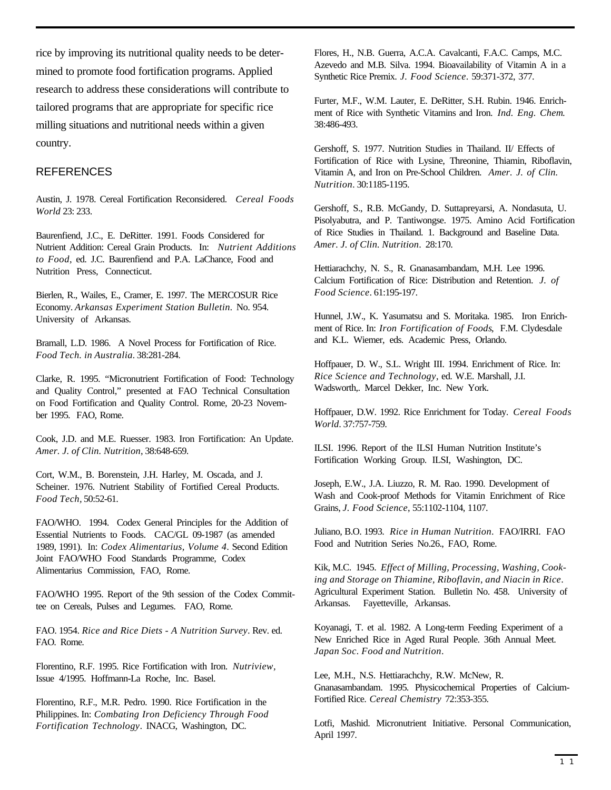rice by improving its nutritional quality needs to be determined to promote food fortification programs. Applied research to address these considerations will contribute to tailored programs that are appropriate for specific rice milling situations and nutritional needs within a given country.

## **REFERENCES**

Austin, J. 1978. Cereal Fortification Reconsidered. *Cereal Foods World* 23: 233.

Baurenfiend, J.C., E. DeRitter. 1991. Foods Considered for Nutrient Addition: Cereal Grain Products. In: *Nutrient Additions to Food*, ed. J.C. Baurenfiend and P.A. LaChance, Food and Nutrition Press, Connecticut.

Bierlen, R., Wailes, E., Cramer, E. 1997. The MERCOSUR Rice Economy. *Arkansas Experiment Station Bulletin.* No. 954. University of Arkansas.

Bramall, L.D. 1986. A Novel Process for Fortification of Rice. *Food Tech. in Australia.* 38:281-284.

Clarke, R. 1995. "Micronutrient Fortification of Food: Technology and Quality Control," presented at FAO Technical Consultation on Food Fortification and Quality Control. Rome, 20-23 November 1995. FAO, Rome.

Cook, J.D. and M.E. Ruesser. 1983. Iron Fortification: An Update. *Amer. J. of Clin. Nutrition*, 38:648-659.

Cort, W.M., B. Borenstein, J.H. Harley, M. Oscada, and J. Scheiner. 1976. Nutrient Stability of Fortified Cereal Products. *Food Tech,* 50:52-61.

FAO/WHO. 1994. Codex General Principles for the Addition of Essential Nutrients to Foods. CAC/GL 09-1987 (as amended 1989, 1991). In: *Codex Alimentarius, Volume 4*. Second Edition Joint FAO/WHO Food Standards Programme, Codex Alimentarius Commission, FAO, Rome.

FAO/WHO 1995. Report of the 9th session of the Codex Committee on Cereals, Pulses and Legumes. FAO, Rome.

FAO. 1954. *Rice and Rice Diets - A Nutrition Survey*. Rev. ed. FAO. Rome.

Florentino, R.F. 1995. Rice Fortification with Iron. *Nutriview,* Issue 4/1995. Hoffmann-La Roche, Inc. Basel.

Florentino, R.F., M.R. Pedro. 1990. Rice Fortification in the Philippines. In: *Combating Iron Deficiency Through Food Fortification Technology*. INACG, Washington, DC.

Flores, H., N.B. Guerra, A.C.A. Cavalcanti, F.A.C. Camps, M.C. Azevedo and M.B. Silva. 1994. Bioavailability of Vitamin A in a Synthetic Rice Premix. *J. Food Science*. 59:371-372, 377.

Furter, M.F., W.M. Lauter, E. DeRitter, S.H. Rubin. 1946. Enrichment of Rice with Synthetic Vitamins and Iron. *Ind. Eng. Chem*. 38:486-493.

Gershoff, S. 1977. Nutrition Studies in Thailand. II/ Effects of Fortification of Rice with Lysine, Threonine, Thiamin, Riboflavin, Vitamin A, and Iron on Pre-School Children. *Amer. J. of Clin. Nutrition.* 30:1185-1195.

Gershoff, S., R.B. McGandy, D. Suttapreyarsi, A. Nondasuta, U. Pisolyabutra, and P. Tantiwongse. 1975. Amino Acid Fortification of Rice Studies in Thailand. 1. Background and Baseline Data. *Amer. J. of Clin. Nutrition*. 28:170.

Hettiarachchy, N. S., R. Gnanasambandam, M.H. Lee 1996. Calcium Fortification of Rice: Distribution and Retention. *J. of Food Science*. 61:195-197.

Hunnel, J.W., K. Yasumatsu and S. Moritaka. 1985. Iron Enrichment of Rice. In: *Iron Fortification of Foods*, F.M. Clydesdale and K.L. Wiemer, eds. Academic Press, Orlando.

Hoffpauer, D. W., S.L. Wright III. 1994. Enrichment of Rice. In: *Rice Science and Technology*, ed. W.E. Marshall, J.I. Wadsworth,. Marcel Dekker, Inc. New York.

Hoffpauer, D.W. 1992. Rice Enrichment for Today. *Cereal Foods World*. 37:757-759.

ILSI. 1996. Report of the ILSI Human Nutrition Institute's Fortification Working Group. ILSI, Washington, DC.

Joseph, E.W., J.A. Liuzzo, R. M. Rao. 1990. Development of Wash and Cook-proof Methods for Vitamin Enrichment of Rice Grains, *J. Food Science*, 55:1102-1104, 1107.

Juliano, B.O. 1993. *Rice in Human Nutrition*. FAO/IRRI. FAO Food and Nutrition Series No.26., FAO, Rome.

Kik, M.C. 1945. *Effect of Milling, Processing, Washing, Cooking and Storage on Thiamine, Riboflavin, and Niacin in Rice*. Agricultural Experiment Station. Bulletin No. 458. University of Arkansas. Fayetteville, Arkansas.

Koyanagi, T. et al. 1982. A Long-term Feeding Experiment of a New Enriched Rice in Aged Rural People. 36th Annual Meet. *Japan Soc. Food and Nutrition*.

Lee, M.H., N.S. Hettiarachchy, R.W. McNew, R. Gnanasambandam. 1995. Physicochemical Properties of Calcium-Fortified Rice. *Cereal Chemistry* 72:353-355.

Lotfi, Mashid. Micronutrient Initiative. Personal Communication, April 1997.